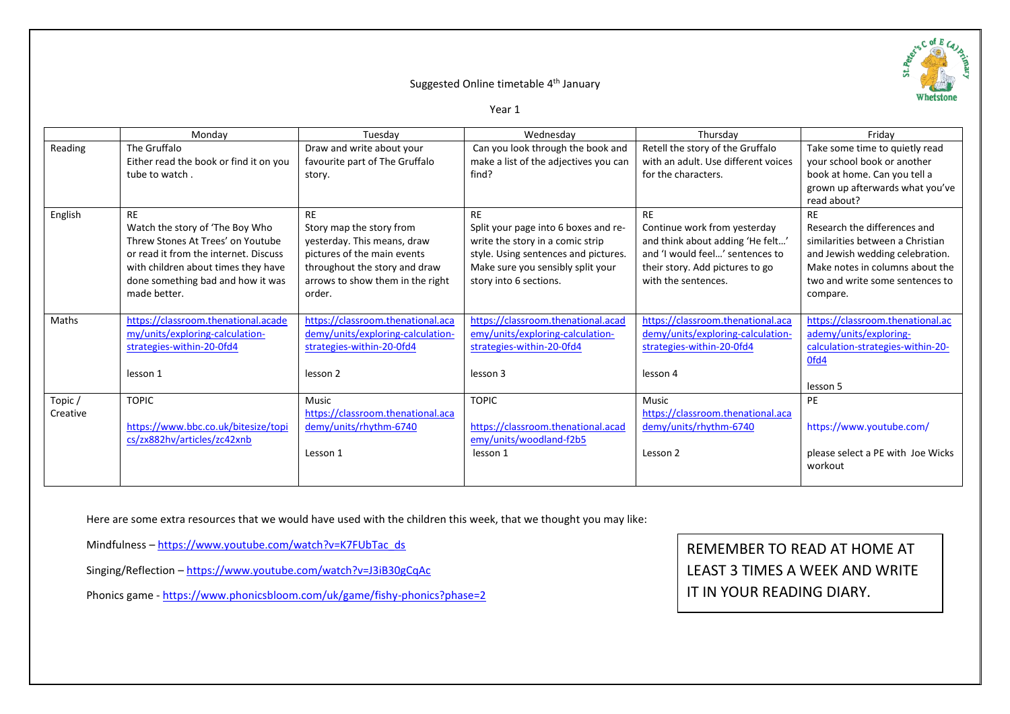## Suggested Online timetable 4<sup>th</sup> January



Year 1

|          | Mondav                                 | Tuesdav                           | Wednesday                             | Thursday                            | Fridav                            |
|----------|----------------------------------------|-----------------------------------|---------------------------------------|-------------------------------------|-----------------------------------|
| Reading  | The Gruffalo                           | Draw and write about your         | Can you look through the book and     | Retell the story of the Gruffalo    | Take some time to quietly read    |
|          | Either read the book or find it on you | favourite part of The Gruffalo    | make a list of the adjectives you can | with an adult. Use different voices | your school book or another       |
|          | tube to watch.                         | story.                            | find?                                 | for the characters.                 | book at home. Can you tell a      |
|          |                                        |                                   |                                       |                                     | grown up afterwards what you've   |
|          |                                        |                                   |                                       |                                     | read about?                       |
| English  | <b>RF</b>                              | <b>RE</b>                         | <b>RF</b>                             | <b>RE</b>                           | <b>RF</b>                         |
|          | Watch the story of 'The Boy Who        | Story map the story from          | Split your page into 6 boxes and re-  | Continue work from yesterday        | Research the differences and      |
|          | Threw Stones At Trees' on Youtube      | yesterday. This means, draw       | write the story in a comic strip      | and think about adding 'He felt'    | similarities between a Christian  |
|          | or read it from the internet. Discuss  | pictures of the main events       | style. Using sentences and pictures.  | and 'I would feel' sentences to     | and Jewish wedding celebration.   |
|          | with children about times they have    | throughout the story and draw     | Make sure you sensibly split your     | their story. Add pictures to go     | Make notes in columns about the   |
|          | done something bad and how it was      | arrows to show them in the right  | story into 6 sections.                | with the sentences.                 | two and write some sentences to   |
|          | made better.                           | order.                            |                                       |                                     | compare.                          |
|          |                                        |                                   |                                       |                                     |                                   |
| Maths    | https://classroom.thenational.acade    | https://classroom.thenational.aca | https://classroom.thenational.acad    | https://classroom.thenational.aca   | https://classroom.thenational.ac  |
|          | my/units/exploring-calculation-        | demy/units/exploring-calculation- | emy/units/exploring-calculation-      | demy/units/exploring-calculation-   | ademy/units/exploring-            |
|          | strategies-within-20-0fd4              | strategies-within-20-0fd4         | strategies-within-20-0fd4             | strategies-within-20-0fd4           | calculation-strategies-within-20- |
|          |                                        |                                   |                                       |                                     | Ofd4                              |
|          | lesson 1                               | lesson 2                          | lesson 3                              | lesson 4                            |                                   |
|          |                                        |                                   |                                       |                                     | lesson 5                          |
| Topic/   | <b>TOPIC</b>                           | <b>Music</b>                      | <b>TOPIC</b>                          | Music                               | PE                                |
| Creative |                                        | https://classroom.thenational.aca |                                       | https://classroom.thenational.aca   |                                   |
|          | https://www.bbc.co.uk/bitesize/topi    | demy/units/rhythm-6740            | https://classroom.thenational.acad    | demy/units/rhythm-6740              | https://www.youtube.com/          |
|          | cs/zx882hv/articles/zc42xnb            |                                   | emy/units/woodland-f2b5               |                                     |                                   |
|          |                                        | Lesson 1                          | lesson 1                              | Lesson 2                            | please select a PE with Joe Wicks |
|          |                                        |                                   |                                       |                                     | workout                           |
|          |                                        |                                   |                                       |                                     |                                   |

Here are some extra resources that we would have used with the children this week, that we thought you may like:

Mindfulness - [https://www.youtube.com/watch?v=K7FUbTac\\_ds](https://www.youtube.com/watch?v=K7FUbTac_ds)

Singing/Reflection – <https://www.youtube.com/watch?v=J3iB30gCqAc>

Phonics game - <https://www.phonicsbloom.com/uk/game/fishy-phonics?phase=2>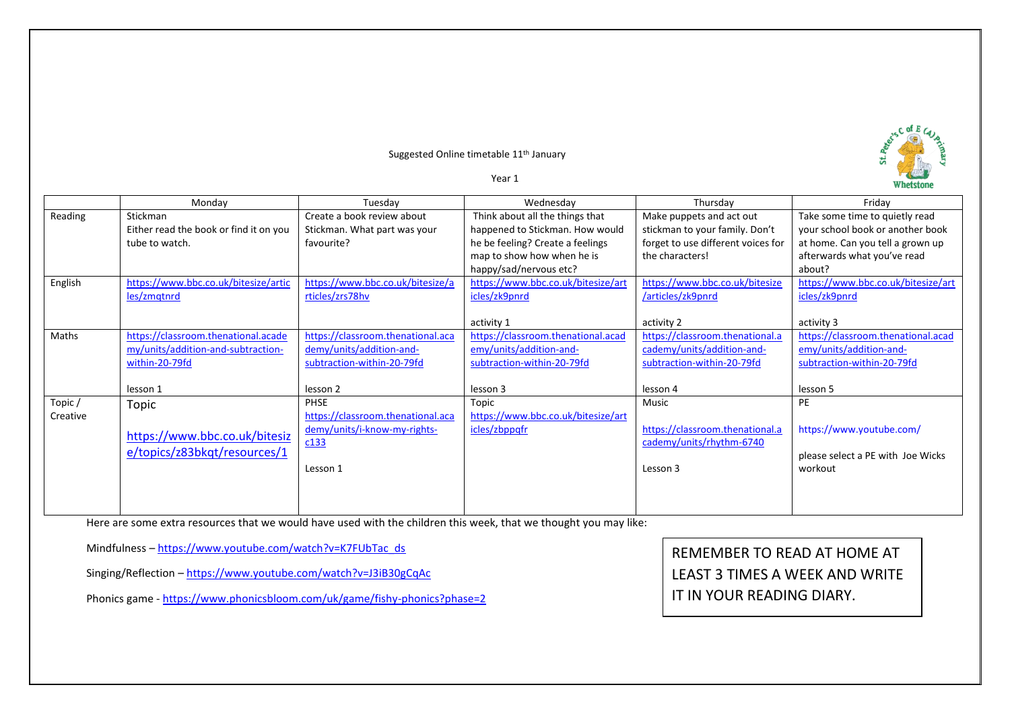

Suggested Online timetable 11<sup>th</sup> January

| . .<br>۰,<br>× |  |
|----------------|--|
|----------------|--|

|                    | Monday                                                                                                  | Tuesday                                                                                                 | Wednesday                                                                                                                                                      | Thursday                                                                                                            | Friday                                                                                                                                          |
|--------------------|---------------------------------------------------------------------------------------------------------|---------------------------------------------------------------------------------------------------------|----------------------------------------------------------------------------------------------------------------------------------------------------------------|---------------------------------------------------------------------------------------------------------------------|-------------------------------------------------------------------------------------------------------------------------------------------------|
| Reading            | Stickman<br>Either read the book or find it on you<br>tube to watch.                                    | Create a book review about<br>Stickman. What part was your<br>favourite?                                | Think about all the things that<br>happened to Stickman. How would<br>he be feeling? Create a feelings<br>map to show how when he is<br>happy/sad/nervous etc? | Make puppets and act out<br>stickman to your family. Don't<br>forget to use different voices for<br>the characters! | Take some time to quietly read<br>your school book or another book<br>at home. Can you tell a grown up<br>afterwards what you've read<br>about? |
| English            | https://www.bbc.co.uk/bitesize/artic<br>les/zmgtnrd                                                     | https://www.bbc.co.uk/bitesize/a<br>rticles/zrs78hv                                                     | https://www.bbc.co.uk/bitesize/art<br>icles/zk9pnrd<br>activity 1                                                                                              | https://www.bbc.co.uk/bitesize<br>/articles/zk9pnrd<br>activity 2                                                   | https://www.bbc.co.uk/bitesize/art<br>icles/zk9pnrd<br>activity 3                                                                               |
| Maths              | https://classroom.thenational.acade<br>my/units/addition-and-subtraction-<br>within-20-79fd<br>lesson 1 | https://classroom.thenational.aca<br>demy/units/addition-and-<br>subtraction-within-20-79fd<br>lesson 2 | https://classroom.thenational.acad<br>emy/units/addition-and-<br>subtraction-within-20-79fd<br>lesson 3                                                        | https://classroom.thenational.a<br>cademy/units/addition-and-<br>subtraction-within-20-79fd<br>lesson 4             | https://classroom.thenational.acad<br>emy/units/addition-and-<br>subtraction-within-20-79fd<br>lesson 5                                         |
| Topic/<br>Creative | Topic<br>https://www.bbc.co.uk/bitesiz<br>e/topics/z83bkgt/resources/1                                  | <b>PHSE</b><br>https://classroom.thenational.aca<br>demy/units/i-know-my-rights-<br>c133<br>Lesson 1    | Topic<br>https://www.bbc.co.uk/bitesize/art<br>icles/zbppgfr                                                                                                   | Music<br>https://classroom.thenational.a<br>cademy/units/rhythm-6740<br>Lesson 3                                    | PE<br>https://www.youtube.com/<br>please select a PE with Joe Wicks<br>workout                                                                  |

Here are some extra resources that we would have used with the children this week, that we thought you may like:

Mindfulness – [https://www.youtube.com/watch?v=K7FUbTac\\_ds](https://www.youtube.com/watch?v=K7FUbTac_ds)

Singing/Reflection – <https://www.youtube.com/watch?v=J3iB30gCqAc>

Phonics game - <https://www.phonicsbloom.com/uk/game/fishy-phonics?phase=2>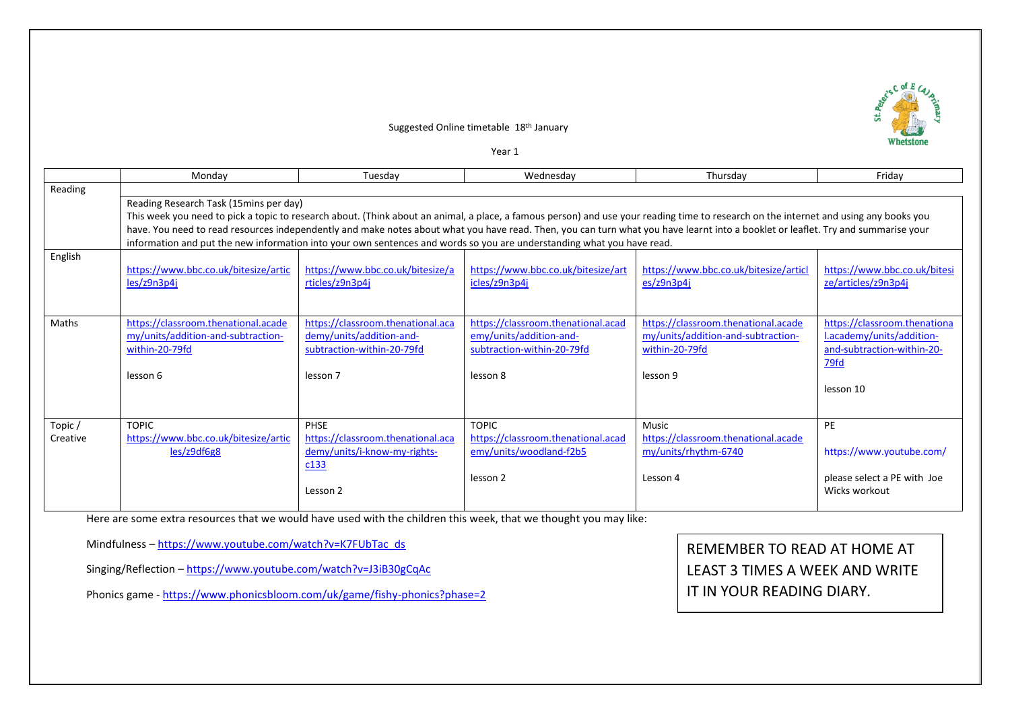Suggested Online timetable 18<sup>th</sup> January



Year 1

|                    | Monday                                                                                                                                                                                | Tuesday                                                                                                 | Wednesday                                                                                                              | Thursday                                                                                                                                                                          | Friday                                                                                                       |  |  |
|--------------------|---------------------------------------------------------------------------------------------------------------------------------------------------------------------------------------|---------------------------------------------------------------------------------------------------------|------------------------------------------------------------------------------------------------------------------------|-----------------------------------------------------------------------------------------------------------------------------------------------------------------------------------|--------------------------------------------------------------------------------------------------------------|--|--|
| Reading            |                                                                                                                                                                                       |                                                                                                         |                                                                                                                        |                                                                                                                                                                                   |                                                                                                              |  |  |
|                    | Reading Research Task (15 mins per day)                                                                                                                                               |                                                                                                         |                                                                                                                        |                                                                                                                                                                                   |                                                                                                              |  |  |
|                    | This week you need to pick a topic to research about. (Think about an animal, a place, a famous person) and use your reading time to research on the internet and using any books you |                                                                                                         |                                                                                                                        |                                                                                                                                                                                   |                                                                                                              |  |  |
|                    |                                                                                                                                                                                       |                                                                                                         |                                                                                                                        | have. You need to read resources independently and make notes about what you have read. Then, you can turn what you have learnt into a booklet or leaflet. Try and summarise your |                                                                                                              |  |  |
|                    |                                                                                                                                                                                       |                                                                                                         | information and put the new information into your own sentences and words so you are understanding what you have read. |                                                                                                                                                                                   |                                                                                                              |  |  |
| English            | https://www.bbc.co.uk/bitesize/artic<br>les/z9n3p4j                                                                                                                                   | https://www.bbc.co.uk/bitesize/a<br>rticles/z9n3p4j                                                     | https://www.bbc.co.uk/bitesize/art<br>icles/z9n3p4j                                                                    | https://www.bbc.co.uk/bitesize/articl<br>es/z9n3p4j                                                                                                                               | https://www.bbc.co.uk/bitesi<br>ze/articles/z9n3p4j                                                          |  |  |
| Maths              | https://classroom.thenational.acade<br>my/units/addition-and-subtraction-<br>within-20-79fd<br>lesson 6                                                                               | https://classroom.thenational.aca<br>demy/units/addition-and-<br>subtraction-within-20-79fd<br>lesson 7 | https://classroom.thenational.acad<br>emy/units/addition-and-<br>subtraction-within-20-79fd<br>lesson 8                | https://classroom.thenational.acade<br>my/units/addition-and-subtraction-<br>within-20-79fd<br>lesson 9                                                                           | https://classroom.thenationa<br>l.academy/units/addition-<br>and-subtraction-within-20-<br>79fd<br>lesson 10 |  |  |
| Topic/<br>Creative | <b>TOPIC</b><br>https://www.bbc.co.uk/bitesize/artic<br>les/z9df6g8                                                                                                                   | <b>PHSE</b><br>https://classroom.thenational.aca<br>demy/units/i-know-my-rights-<br>c133<br>Lesson 2    | <b>TOPIC</b><br>https://classroom.thenational.acad<br>emy/units/woodland-f2b5<br>lesson 2                              | Music<br>https://classroom.thenational.acade<br>my/units/rhythm-6740<br>Lesson 4                                                                                                  | PE<br>https://www.youtube.com/<br>please select a PE with Joe<br>Wicks workout                               |  |  |

Here are some extra resources that we would have used with the children this week, that we thought you may like:

Mindfulness – [https://www.youtube.com/watch?v=K7FUbTac\\_ds](https://www.youtube.com/watch?v=K7FUbTac_ds)

Singing/Reflection – <https://www.youtube.com/watch?v=J3iB30gCqAc>

Phonics game - <https://www.phonicsbloom.com/uk/game/fishy-phonics?phase=2>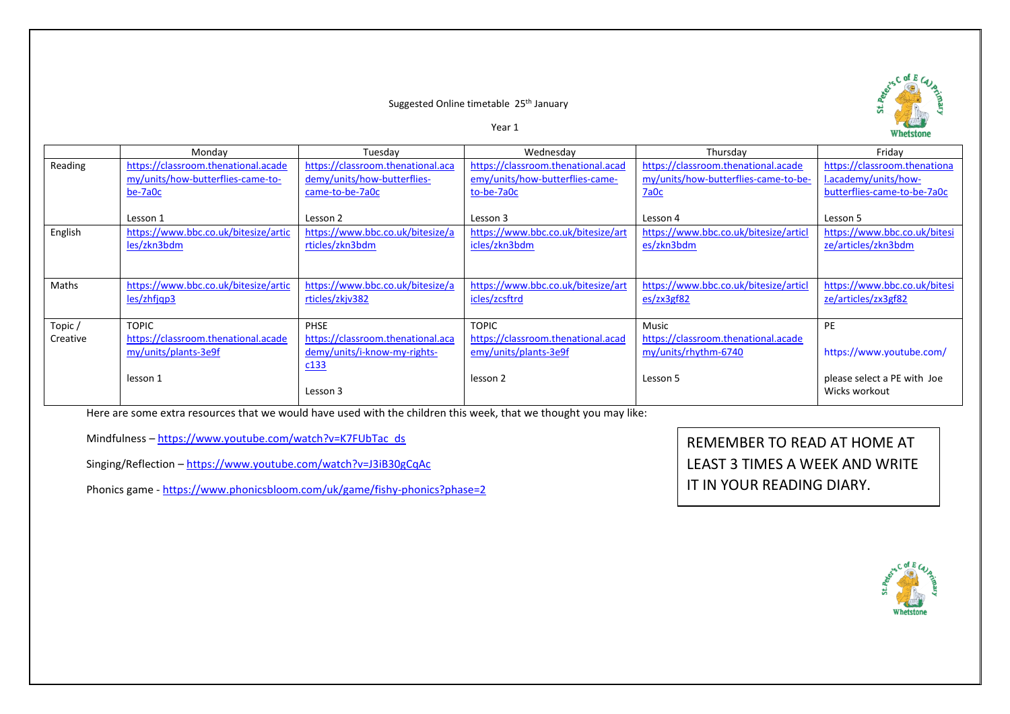

## Suggested Online timetable 25<sup>th</sup> January

Year 1

|          | Monday                               | Tuesday                           | Wednesday                          | Thursday                              | Friday                       |
|----------|--------------------------------------|-----------------------------------|------------------------------------|---------------------------------------|------------------------------|
| Reading  | https://classroom.thenational.acade  | https://classroom.thenational.aca | https://classroom.thenational.acad | https://classroom.thenational.acade   | https://classroom.thenationa |
|          | my/units/how-butterflies-came-to-    | demy/units/how-butterflies-       | emy/units/how-butterflies-came-    | my/units/how-butterflies-came-to-be-  | l.academy/units/how-         |
|          | be-7a0c                              | came-to-be-7a0c                   | to-be-7a0c                         | 7a0c                                  | butterflies-came-to-be-7a0c  |
|          | Lesson 1                             | Lesson 2                          | Lesson 3                           | Lesson 4                              | Lesson 5                     |
| English  | https://www.bbc.co.uk/bitesize/artic | https://www.bbc.co.uk/bitesize/a  | https://www.bbc.co.uk/bitesize/art | https://www.bbc.co.uk/bitesize/articl | https://www.bbc.co.uk/bitesi |
|          | les/zkn3bdm                          | rticles/zkn3bdm                   | icles/zkn3bdm                      | es/zkn3bdm                            | ze/articles/zkn3bdm          |
|          |                                      |                                   |                                    |                                       |                              |
| Maths    | https://www.bbc.co.uk/bitesize/artic | https://www.bbc.co.uk/bitesize/a  | https://www.bbc.co.uk/bitesize/art | https://www.bbc.co.uk/bitesize/articl | https://www.bbc.co.uk/bitesi |
|          | les/zhfjqp3                          | rticles/zkjv382                   | icles/zcsftrd                      | es/zx3gf82                            | ze/articles/zx3gf82          |
|          |                                      |                                   |                                    |                                       |                              |
| Topic/   | <b>TOPIC</b>                         | <b>PHSE</b>                       | <b>TOPIC</b>                       | <b>Music</b>                          | PE                           |
| Creative | https://classroom.thenational.acade  | https://classroom.thenational.aca | https://classroom.thenational.acad | https://classroom.thenational.acade   |                              |
|          | my/units/plants-3e9f                 | demy/units/i-know-my-rights-      | emy/units/plants-3e9f              | my/units/rhythm-6740                  | https://www.youtube.com/     |
|          |                                      | c133                              |                                    |                                       |                              |
|          | lesson 1                             |                                   | lesson 2                           | Lesson 5                              | please select a PE with Joe  |
|          |                                      | Lesson 3                          |                                    |                                       | Wicks workout                |

Here are some extra resources that we would have used with the children this week, that we thought you may like:

Mindfulness – [https://www.youtube.com/watch?v=K7FUbTac\\_ds](https://www.youtube.com/watch?v=K7FUbTac_ds)

Singing/Reflection – <https://www.youtube.com/watch?v=J3iB30gCqAc>

Phonics game - <https://www.phonicsbloom.com/uk/game/fishy-phonics?phase=2>

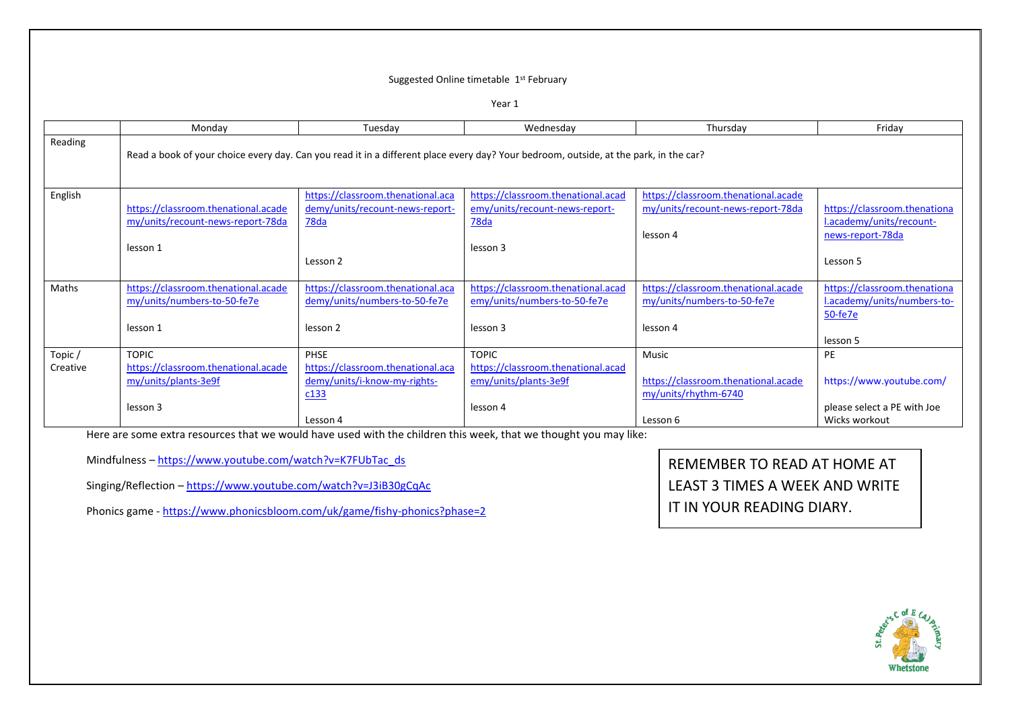## Suggested Online timetable 1<sup>st</sup> February

Year 1

|                    | Monday                                                                                                                                | Tuesday                                                                                  | Wednesday                                                                                       | Thursday                                                                             | Friday                                                                      |  |  |
|--------------------|---------------------------------------------------------------------------------------------------------------------------------------|------------------------------------------------------------------------------------------|-------------------------------------------------------------------------------------------------|--------------------------------------------------------------------------------------|-----------------------------------------------------------------------------|--|--|
| Reading            | Read a book of your choice every day. Can you read it in a different place every day? Your bedroom, outside, at the park, in the car? |                                                                                          |                                                                                                 |                                                                                      |                                                                             |  |  |
| English            | https://classroom.thenational.acade<br>my/units/recount-news-report-78da<br>lesson 1                                                  | https://classroom.thenational.aca<br>demy/units/recount-news-report-<br>78 <sub>da</sub> | https://classroom.thenational.acad<br>emy/units/recount-news-report-<br><u>78da</u><br>lesson 3 | https://classroom.thenational.acade<br>my/units/recount-news-report-78da<br>lesson 4 | https://classroom.thenationa<br>Lacademy/units/recount-<br>news-report-78da |  |  |
|                    |                                                                                                                                       | Lesson 2                                                                                 |                                                                                                 |                                                                                      | Lesson 5                                                                    |  |  |
| Maths              | https://classroom.thenational.acade<br>my/units/numbers-to-50-fe7e                                                                    | https://classroom.thenational.aca<br>demy/units/numbers-to-50-fe7e                       | https://classroom.thenational.acad<br>emy/units/numbers-to-50-fe7e                              | https://classroom.thenational.acade<br>my/units/numbers-to-50-fe7e                   | https://classroom.thenationa<br>l.academy/units/numbers-to-<br>50-fe7e      |  |  |
|                    | lesson 1                                                                                                                              | lesson 2                                                                                 | lesson 3                                                                                        | lesson 4                                                                             | lesson 5                                                                    |  |  |
| Topic/<br>Creative | <b>TOPIC</b><br>https://classroom.thenational.acade<br>my/units/plants-3e9f                                                           | <b>PHSE</b><br>https://classroom.thenational.aca<br>demy/units/i-know-my-rights-<br>c133 | <b>TOPIC</b><br>https://classroom.thenational.acad<br>emy/units/plants-3e9f                     | <b>Music</b><br>https://classroom.thenational.acade<br>my/units/rhythm-6740          | <b>PE</b><br>https://www.youtube.com/                                       |  |  |
|                    | lesson 3                                                                                                                              | Lesson 4                                                                                 | lesson 4                                                                                        | Lesson 6                                                                             | please select a PE with Joe<br>Wicks workout                                |  |  |
|                    | Here are some extra resources that we would have used with the children this week, that we thought you may like:                      |                                                                                          |                                                                                                 |                                                                                      |                                                                             |  |  |

Mindfulness – [https://www.youtube.com/watch?v=K7FUbTac\\_ds](https://www.youtube.com/watch?v=K7FUbTac_ds)

Singing/Reflection - <https://www.youtube.com/watch?v=J3iB30gCqAc>

Phonics game - <https://www.phonicsbloom.com/uk/game/fishy-phonics?phase=2>